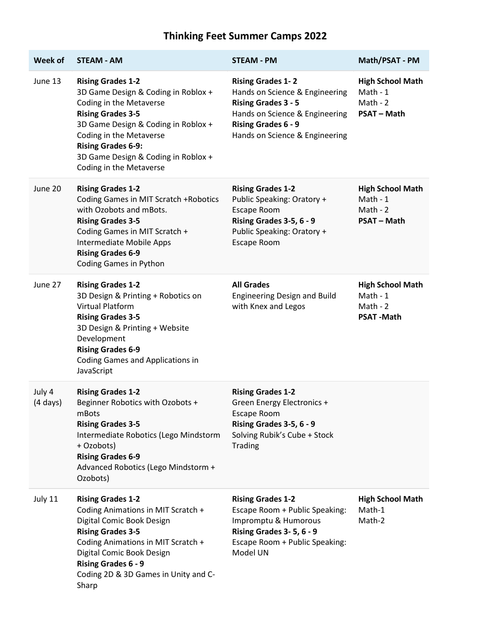## **Thinking Feet Summer Camps 2022**

| Week of                      | <b>STEAM - AM</b>                                                                                                                                                                                                                                                                       | <b>STEAM - PM</b>                                                                                                                                                                          | Math/PSAT - PM                                                          |
|------------------------------|-----------------------------------------------------------------------------------------------------------------------------------------------------------------------------------------------------------------------------------------------------------------------------------------|--------------------------------------------------------------------------------------------------------------------------------------------------------------------------------------------|-------------------------------------------------------------------------|
| June 13                      | <b>Rising Grades 1-2</b><br>3D Game Design & Coding in Roblox +<br>Coding in the Metaverse<br><b>Rising Grades 3-5</b><br>3D Game Design & Coding in Roblox +<br>Coding in the Metaverse<br><b>Rising Grades 6-9:</b><br>3D Game Design & Coding in Roblox +<br>Coding in the Metaverse | <b>Rising Grades 1-2</b><br>Hands on Science & Engineering<br><b>Rising Grades 3 - 5</b><br>Hands on Science & Engineering<br><b>Rising Grades 6 - 9</b><br>Hands on Science & Engineering | <b>High School Math</b><br>Math - 1<br>Math - $2$<br><b>PSAT-Math</b>   |
| June 20                      | <b>Rising Grades 1-2</b><br>Coding Games in MIT Scratch +Robotics<br>with Ozobots and mBots.<br><b>Rising Grades 3-5</b><br>Coding Games in MIT Scratch +<br>Intermediate Mobile Apps<br><b>Rising Grades 6-9</b><br>Coding Games in Python                                             | <b>Rising Grades 1-2</b><br>Public Speaking: Oratory +<br>Escape Room<br>Rising Grades 3-5, 6 - 9<br>Public Speaking: Oratory +<br>Escape Room                                             | <b>High School Math</b><br>Math - $1$<br>Math - $2$<br><b>PSAT-Math</b> |
| June 27                      | <b>Rising Grades 1-2</b><br>3D Design & Printing + Robotics on<br><b>Virtual Platform</b><br><b>Rising Grades 3-5</b><br>3D Design & Printing + Website<br>Development<br><b>Rising Grades 6-9</b><br>Coding Games and Applications in<br>JavaScript                                    | <b>All Grades</b><br><b>Engineering Design and Build</b><br>with Knex and Legos                                                                                                            | <b>High School Math</b><br>Math - 1<br>Math - $2$<br><b>PSAT-Math</b>   |
| July 4<br>$(4 \text{ days})$ | <b>Rising Grades 1-2</b><br>Beginner Robotics with Ozobots +<br>mBots<br><b>Rising Grades 3-5</b><br>Intermediate Robotics (Lego Mindstorm<br>+ Ozobots)<br><b>Rising Grades 6-9</b><br>Advanced Robotics (Lego Mindstorm +<br>Ozobots)                                                 | <b>Rising Grades 1-2</b><br>Green Energy Electronics +<br>Escape Room<br>Rising Grades 3-5, 6 - 9<br>Solving Rubik's Cube + Stock<br><b>Trading</b>                                        |                                                                         |
| July 11                      | <b>Rising Grades 1-2</b><br>Coding Animations in MIT Scratch +<br>Digital Comic Book Design<br><b>Rising Grades 3-5</b><br>Coding Animations in MIT Scratch +<br>Digital Comic Book Design<br><b>Rising Grades 6 - 9</b><br>Coding 2D & 3D Games in Unity and C-<br>Sharp               | <b>Rising Grades 1-2</b><br>Escape Room + Public Speaking:<br>Impromptu & Humorous<br>Rising Grades 3-5, 6-9<br>Escape Room + Public Speaking:<br>Model UN                                 | <b>High School Math</b><br>Math-1<br>Math-2                             |